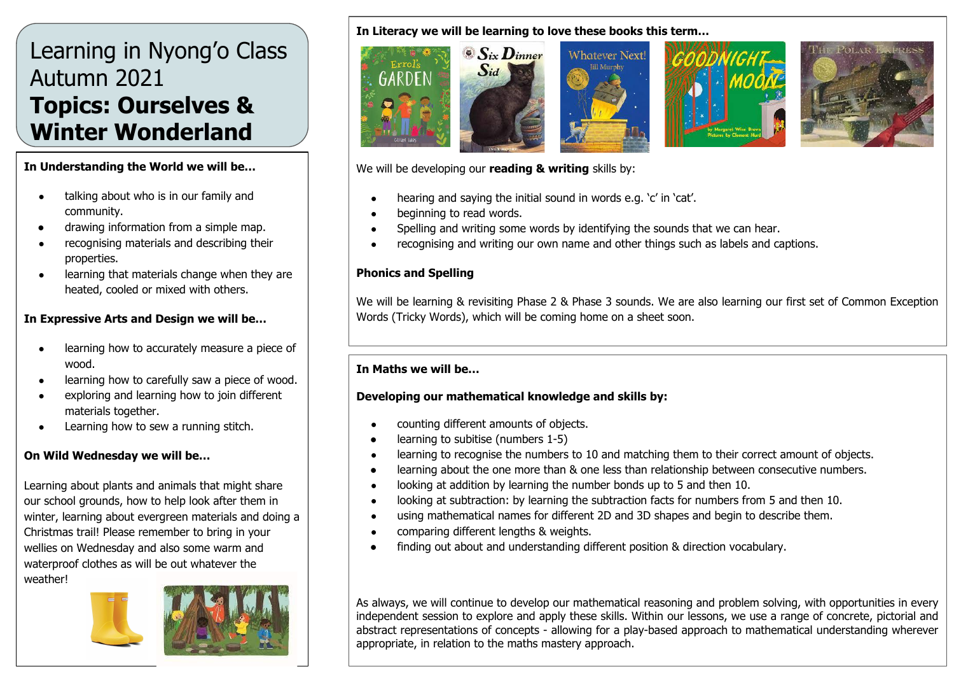# Learning in Nyong'o Class Autumn 2021 **Topics: Ourselves & Winter Wonderland**

#### **In Understanding the World we will be…**

- talking about who is in our family and community.
- drawing information from a simple map.
- recognising materials and describing their properties.
- learning that materials change when they are heated, cooled or mixed with others.

### **In Expressive Arts and Design we will be…**

- learning how to accurately measure a piece of wood.
- learning how to carefully saw a piece of wood.
- exploring and learning how to join different materials together.
- Learning how to sew a running stitch.

#### **On Wild Wednesday we will be…**

Learning about plants and animals that might share our school grounds, how to help look after them in winter, learning about evergreen materials and doing a Christmas trail! Please remember to bring in your wellies on Wednesday and also some warm and waterproof clothes as will be out whatever the weather!



#### **In Literacy we will be learning to love these books this term…**



We will be developing our **reading & writing** skills by:

- hearing and saying the initial sound in words e.g. 'c' in 'cat'.
- beginning to read words.
- Spelling and writing some words by identifying the sounds that we can hear.
- recognising and writing our own name and other things such as labels and captions.

### **Phonics and Spelling**

We will be learning & revisiting Phase 2 & Phase 3 sounds. We are also learning our first set of Common Exception Words (Tricky Words), which will be coming home on a sheet soon.

#### **In Maths we will be…**

#### **Developing our mathematical knowledge and skills by:**

- counting different amounts of objects.
- learning to subitise (numbers 1-5)
- learning to recognise the numbers to 10 and matching them to their correct amount of objects.
- learning about the one more than & one less than relationship between consecutive numbers.
- looking at addition by learning the number bonds up to 5 and then 10.
- looking at subtraction: by learning the subtraction facts for numbers from 5 and then 10.
- using mathematical names for different 2D and 3D shapes and begin to describe them.
- comparing different lengths & weights.
- finding out about and understanding different position & direction vocabulary.

As always, we will continue to develop our mathematical reasoning and problem solving, with opportunities in every independent session to explore and apply these skills. Within our lessons, we use a range of concrete, pictorial and abstract representations of concepts - allowing for a play-based approach to mathematical understanding wherever appropriate, in relation to the maths mastery approach.